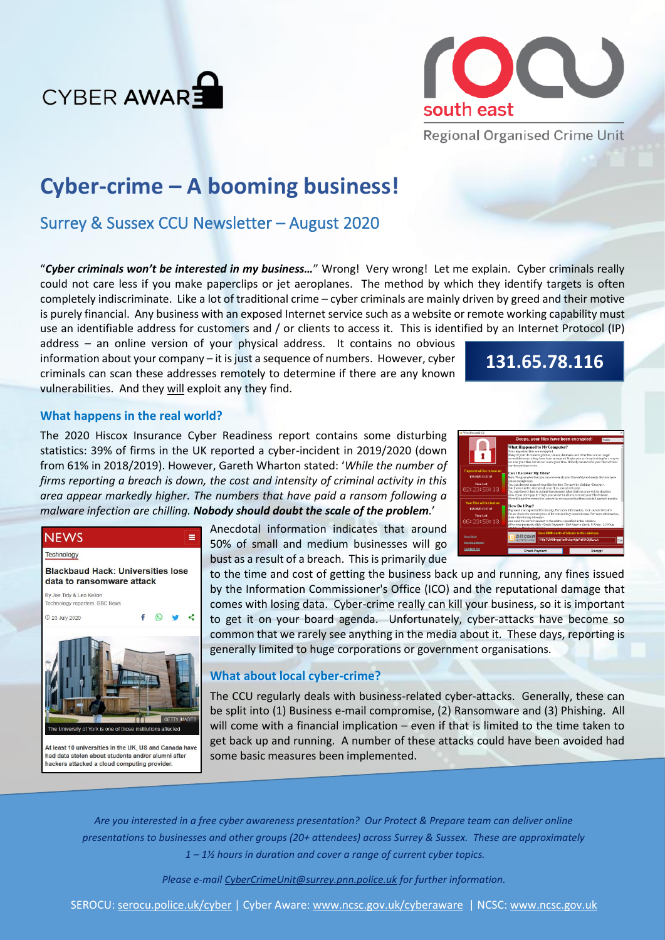



**Regional Organised Crime Unit** 

# **Cyber-crime – A booming business!**

# Surrey & Sussex CCU Newsletter – August 2020

"*Cyber criminals won't be interested in my business…*" Wrong! Very wrong! Let me explain. Cyber criminals really could not care less if you make paperclips or jet aeroplanes. The method by which they identify targets is often completely indiscriminate. Like a lot of traditional crime – cyber criminals are mainly driven by greed and their motive is purely financial. Any business with an exposed Internet service such as a website or remote working capability must use an identifiable address for customers and / or clients to access it. This is identified by an Internet Protocol (IP)

address – an online version of your physical address. It contains no obvious  $information about your company - it is just a sequence of numbers. However, cyber$ criminals can scan these addresses remotely to determine if there are any known vulnerabilities. And they will exploit any they find.

# **131.65.78.116**

## **What happens in the real world?**

The 2020 Hiscox Insurance Cyber Readiness report contains some disturbing statistics: 39% of firms in the UK reported a cyber-incident in 2019/2020 (down from 61% in 2018/2019). However, Gareth Wharton stated: '*While the number of firms reporting a breach is down, the cost and intensity of criminal activity in this area appear markedly higher. The numbers that have paid a ransom following a malware infection are chilling. Nobody should doubt the scale of the problem.*'

| Wana DecryptOr 2.0                                                                  |                                                                                                                                                                                                                                                                                                                                                                                                                                                      |         |         |  |
|-------------------------------------------------------------------------------------|------------------------------------------------------------------------------------------------------------------------------------------------------------------------------------------------------------------------------------------------------------------------------------------------------------------------------------------------------------------------------------------------------------------------------------------------------|---------|---------|--|
|                                                                                     | Ooops, your files have been encrypted!                                                                                                                                                                                                                                                                                                                                                                                                               |         | English |  |
|                                                                                     | What Happened to My Computer?<br>Your important files are encrypted.<br>Mary of your documents, photos, videos, databases and other files are no longer<br>accessible because they have been encrypted. Maybe you are busy looking for a way to<br>recover your files, but do not waste your time. Nobody can recover your files without<br>our decryption service.                                                                                  |         |         |  |
| Payment will be raised on                                                           | <b>Can I Recover My Files?</b>                                                                                                                                                                                                                                                                                                                                                                                                                       |         |         |  |
| 1/25/2020 13:32:32                                                                  | Sure. We suarantee that you can recover all your files safely and easily. But you have                                                                                                                                                                                                                                                                                                                                                               |         |         |  |
| Time Left<br>82123159118                                                            | not so encugh time.<br>You can decrypt some of your flies for free. Try now by clicking <decrypt>.<br/>But if you want to decrypt all your files, you need to pay.<br/>You only have 3 days to submit the payment. After that the price will be doubled.<br/>Also, if you don't pay in 7 days, you won't be able to recover your files forever.<br/>We will have free events for users who are so poor that they couldn't pay in 6 months.</decrypt> |         |         |  |
| Your files will be lost on<br>1/20/2020 13:32:32<br><b>Time Left</b><br>86:23:59:18 | How Do I Pay?<br>Payment is accepted in Bitcoin only. For more information, click <about bitcoin="">.<br/>Please check the current price of Bitcoin and buy some bitcoins. For more information,<br/>click <bow bitcoins="" buy="" to="">.<br/>And send the correct amount to the address specified in this window.<br/>After your nayment, click <check payment="">. Best time to check: 9:00am - 11:00am</check></bow></about>                     |         |         |  |
| About bitcoin<br>How to buy bitcoins?                                               | Send \$300 worth of bitcoin to this address:<br>bitcoir<br>115p7UMMngoj1pMvkpHijcRdfJNXj6LrLn<br><b>ACCEPTED HERI</b><br>Cop                                                                                                                                                                                                                                                                                                                         |         |         |  |
| <b>Contact Us</b>                                                                   | <b>Check Payment</b>                                                                                                                                                                                                                                                                                                                                                                                                                                 | Decrypt |         |  |



At least 10 universities in the UK, US and Canada have had data stolen about students and/or alumni afte hackers attacked a cloud computing provider.

Anecdotal information indicates that around 50% of small and medium businesses will go bust as a result of a breach. This is primarily due

to the time and cost of getting the business back up and running, any fines issued by the Information Commissioner's Office (ICO) and the reputational damage that comes with losing data. Cyber-crime really can kill your business, so it is important to get it on your board agenda. Unfortunately, cyber-attacks have become so common that we rarely see anything in the media about it. These days, reporting is generally limited to huge corporations or government organisations.

## **What about local cyber-crime?**

The CCU regularly deals with business-related cyber-attacks. Generally, these can be split into (1) Business e-mail compromise, (2) Ransomware and (3) Phishing. All will come with a financial implication – even if that is limited to the time taken to get back up and running. A number of these attacks could have been avoided had some basic measures been implemented.

*Are you interested in a free cyber awareness presentation? Our Protect & Prepare team can deliver online presentations to businesses and other groups (20+ attendees) across Surrey & Sussex. These are approximately 1 – 1½ hours in duration and cover a range of current cyber topics.* 

*Please e-mail [CyberCrimeUnit@surrey.pnn.police.uk](mailto:CyberCrimeUnit@surrey.pnn.police.uk) for further information.*